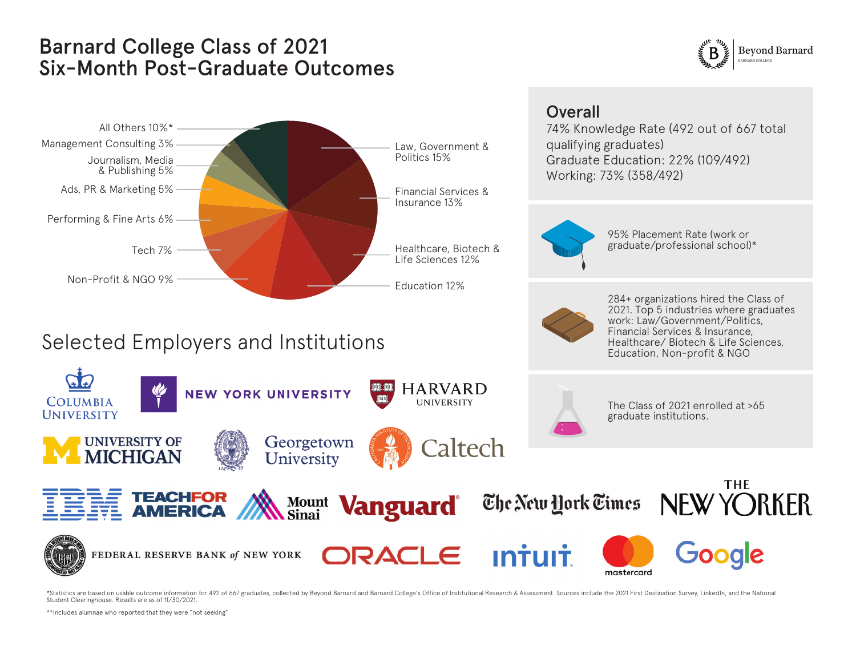## Barnard College Class of 2021 Six-Month Post-Graduate Outcomes





\*Statistics are based on usable outcome information for 492 of 667 graduates, collected by Beyond Barnard and Barnard College's Office of Institutional Research & Assessment. Sources include the 2021 First Destination Surv Student Clearinghouse. Results are as of 11/30/2021.

\*\*Includes alumnae who reported that they were "not seeking"